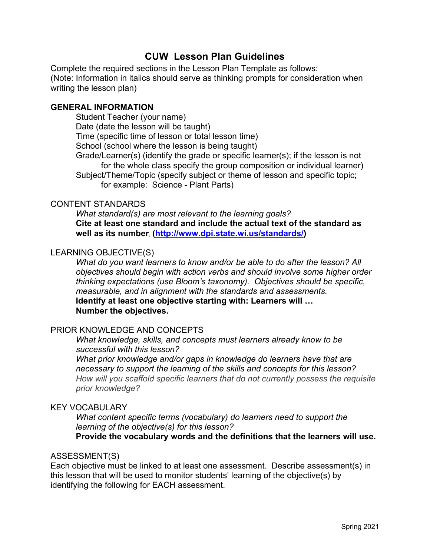# **CUW Lesson Plan Guidelines**

Complete the required sections in the Lesson Plan Template as follows: (Note: Information in italics should serve as thinking prompts for consideration when writing the lesson plan)

#### **GENERAL INFORMATION**

Student Teacher (your name) Date (date the lesson will be taught) Time (specific time of lesson or total lesson time) School (school where the lesson is being taught) Grade/Learner(s) (identify the grade or specific learner(s); if the lesson is not for the whole class specify the group composition or individual learner) Subject/Theme/Topic (specify subject or theme of lesson and specific topic; for example: Science - Plant Parts)

## CONTENT STANDARDS

*What standard(s) are most relevant to the learning goals?*  **Cite at least one standard and include the actual text of the standard as well as its number. [\(http://www.dpi.state.wi.us/standards/](http://www.dpi.state.wi.us/standards/))**

#### LEARNING OBJECTIVE(S)

*What do you want learners to know and/or be able to do after the lesson? All objectives should begin with action verbs and should involve some higher order thinking expectations (use Bloom's taxonomy). Objectives should be specific, measurable, and in alignment with the standards and assessments.* **Identify at least one objective starting with: Learners will … Number the objectives.**

## PRIOR KNOWLEDGE AND CONCEPTS

*What knowledge, skills, and concepts must learners already know to be successful with this lesson?*

*What prior knowledge and/or gaps in knowledge do learners have that are necessary to support the learning of the skills and concepts for this lesson? How will you scaffold specific learners that do not currently possess the requisite prior knowledge?*

#### KEY VOCABULARY

*What content specific terms (vocabulary) do learners need to support the learning of the objective(s) for this lesson?* 

**Provide the vocabulary words and the definitions that the learners will use.**

#### ASSESSMENT(S)

Each objective must be linked to at least one assessment. Describe assessment(s) in this lesson that will be used to monitor students' learning of the objective(s) by identifying the following for EACH assessment.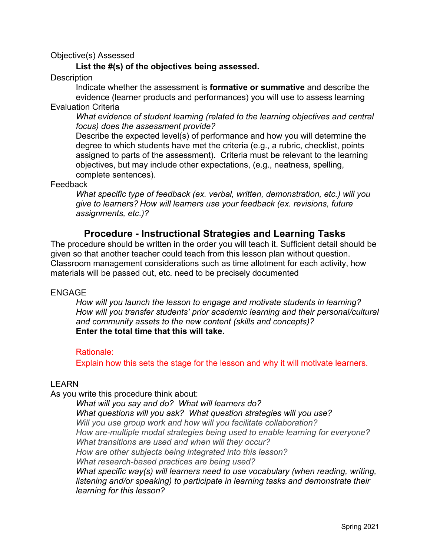#### Objective(s) Assessed

## **List the #(s) of the objectives being assessed.**

**Description** 

Indicate whether the assessment is **formative or summative** and describe the evidence (learner products and performances) you will use to assess learning Evaluation Criteria

*What evidence of student learning (related to the learning objectives and central focus) does the assessment provide?*

Describe the expected level(s) of performance and how you will determine the degree to which students have met the criteria (e.g., a rubric, checklist, points assigned to parts of the assessment). Criteria must be relevant to the learning objectives, but may include other expectations, (e.g., neatness, spelling, complete sentences).

Feedback

*What specific type of feedback (ex. verbal, written, demonstration, etc.) will you give to learners? How will learners use your feedback (ex. revisions, future assignments, etc.)?*

## **Procedure - Instructional Strategies and Learning Tasks**

The procedure should be written in the order you will teach it. Sufficient detail should be given so that another teacher could teach from this lesson plan without question. Classroom management considerations such as time allotment for each activity, how materials will be passed out, etc. need to be precisely documented

#### ENGAGE

*How will you launch the lesson to engage and motivate students in learning? How will you transfer students' prior academic learning and their personal/cultural and community assets to the new content (skills and concepts)?* **Enter the total time that this will take.** 

#### Rationale:

Explain how this sets the stage for the lesson and why it will motivate learners.

## LEARN

As you write this procedure think about:

*What will you say and do? What will learners do? What questions will you ask? What question strategies will you use? Will you use group work and how will you facilitate collaboration? How are-multiple modal strategies being used to enable learning for everyone? What transitions are used and when will they occur? How are other subjects being integrated into this lesson? What research-based practices are being used? What specific way(s) will learners need to use vocabulary (when reading, writing, listening and/or speaking) to participate in learning tasks and demonstrate their learning for this lesson?*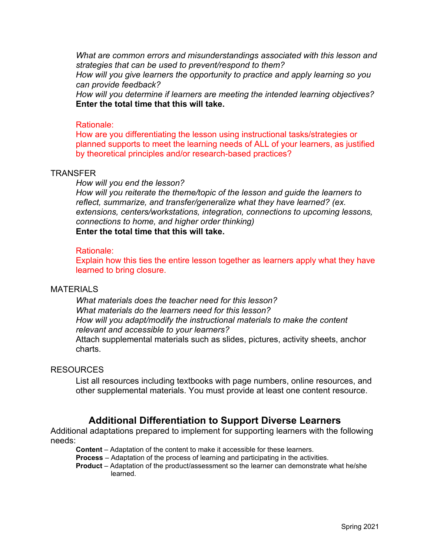*What are common errors and misunderstandings associated with this lesson and strategies that can be used to prevent/respond to them?*

*How will you give learners the opportunity to practice and apply learning so you can provide feedback?*

*How will you determine if learners are meeting the intended learning objectives?* **Enter the total time that this will take.** 

#### Rationale:

How are you differentiating the lesson using instructional tasks/strategies or planned supports to meet the learning needs of ALL of your learners, as justified by theoretical principles and/or research-based practices?

#### **TRANSFER**

*How will you end the lesson?*

*How will you reiterate the theme/topic of the lesson and guide the learners to reflect, summarize, and transfer/generalize what they have learned? (ex. extensions, centers/workstations, integration, connections to upcoming lessons, connections to home, and higher order thinking)* **Enter the total time that this will take.** 

#### Rationale:

Explain how this ties the entire lesson together as learners apply what they have learned to bring closure.

#### MATFRIALS

*What materials does the teacher need for this lesson? What materials do the learners need for this lesson? How will you adapt/modify the instructional materials to make the content relevant and accessible to your learners?* Attach supplemental materials such as slides, pictures, activity sheets, anchor charts.

## RESOURCES

List all resources including textbooks with page numbers, online resources, and other supplemental materials. You must provide at least one content resource.

# **Additional Differentiation to Support Diverse Learners**

Additional adaptations prepared to implement for supporting learners with the following needs:

 **Content** – Adaptation of the content to make it accessible for these learners.

**Process** – Adaptation of the process of learning and participating in the activities.

**Product** – Adaptation of the product/assessment so the learner can demonstrate what he/she learned.